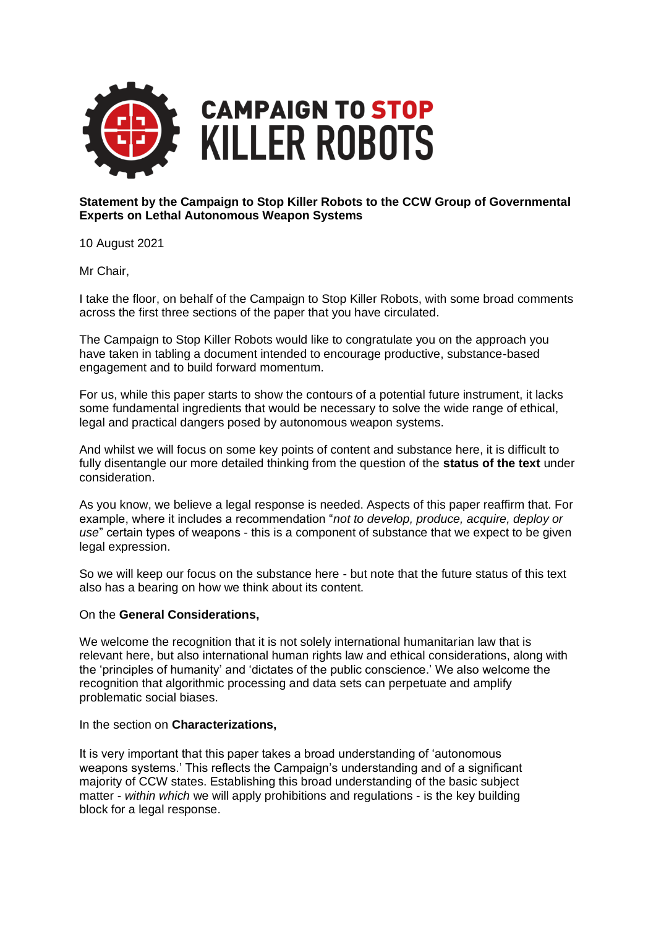

## **Statement by the Campaign to Stop Killer Robots to the CCW Group of Governmental Experts on Lethal Autonomous Weapon Systems**

10 August 2021

Mr Chair,

I take the floor, on behalf of the Campaign to Stop Killer Robots, with some broad comments across the first three sections of the paper that you have circulated.

The Campaign to Stop Killer Robots would like to congratulate you on the approach you have taken in tabling a document intended to encourage productive, substance-based engagement and to build forward momentum.

For us, while this paper starts to show the contours of a potential future instrument, it lacks some fundamental ingredients that would be necessary to solve the wide range of ethical, legal and practical dangers posed by autonomous weapon systems.

And whilst we will focus on some key points of content and substance here, it is difficult to fully disentangle our more detailed thinking from the question of the **status of the text** under consideration.

As you know, we believe a legal response is needed. Aspects of this paper reaffirm that. For example, where it includes a recommendation "*not to develop, produce, acquire, deploy or use*" certain types of weapons - this is a component of substance that we expect to be given legal expression.

So we will keep our focus on the substance here - but note that the future status of this text also has a bearing on how we think about its content.

## On the **General Considerations,**

We welcome the recognition that it is not solely international humanitarian law that is relevant here, but also international human rights law and ethical considerations, along with the 'principles of humanity' and 'dictates of the public conscience.' We also welcome the recognition that algorithmic processing and data sets can perpetuate and amplify problematic social biases.

In the section on **Characterizations,**

It is very important that this paper takes a broad understanding of 'autonomous weapons systems.' This reflects the Campaign's understanding and of a significant majority of CCW states. Establishing this broad understanding of the basic subject matter - *within which* we will apply prohibitions and regulations - is the key building block for a legal response.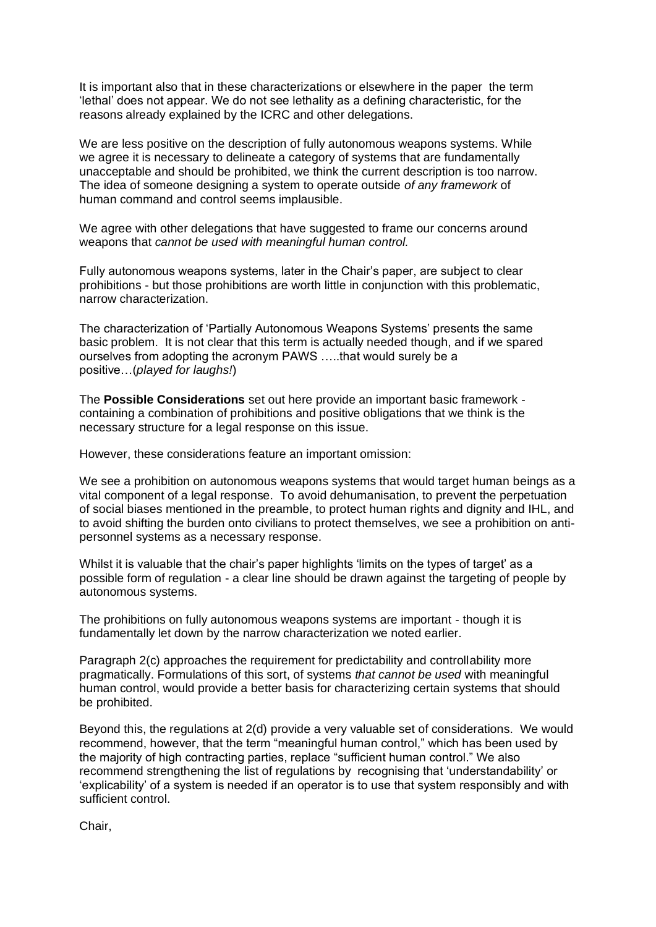It is important also that in these characterizations or elsewhere in the paper the term 'lethal' does not appear. We do not see lethality as a defining characteristic, for the reasons already explained by the ICRC and other delegations.

We are less positive on the description of fully autonomous weapons systems. While we agree it is necessary to delineate a category of systems that are fundamentally unacceptable and should be prohibited, we think the current description is too narrow. The idea of someone designing a system to operate outside *of any framework* of human command and control seems implausible.

We agree with other delegations that have suggested to frame our concerns around weapons that *cannot be used with meaningful human control.*

Fully autonomous weapons systems, later in the Chair's paper, are subject to clear prohibitions - but those prohibitions are worth little in conjunction with this problematic, narrow characterization.

The characterization of 'Partially Autonomous Weapons Systems' presents the same basic problem. It is not clear that this term is actually needed though, and if we spared ourselves from adopting the acronym PAWS …..that would surely be a positive…(*played for laughs!*)

The **Possible Considerations** set out here provide an important basic framework containing a combination of prohibitions and positive obligations that we think is the necessary structure for a legal response on this issue.

However, these considerations feature an important omission:

We see a prohibition on autonomous weapons systems that would target human beings as a vital component of a legal response. To avoid dehumanisation, to prevent the perpetuation of social biases mentioned in the preamble, to protect human rights and dignity and IHL, and to avoid shifting the burden onto civilians to protect themselves, we see a prohibition on antipersonnel systems as a necessary response.

Whilst it is valuable that the chair's paper highlights 'limits on the types of target' as a possible form of regulation - a clear line should be drawn against the targeting of people by autonomous systems.

The prohibitions on fully autonomous weapons systems are important - though it is fundamentally let down by the narrow characterization we noted earlier.

Paragraph 2(c) approaches the requirement for predictability and controllability more pragmatically. Formulations of this sort, of systems *that cannot be used* with meaningful human control, would provide a better basis for characterizing certain systems that should be prohibited.

Beyond this, the regulations at 2(d) provide a very valuable set of considerations. We would recommend, however, that the term "meaningful human control," which has been used by the majority of high contracting parties, replace "sufficient human control." We also recommend strengthening the list of regulations by recognising that 'understandability' or 'explicability' of a system is needed if an operator is to use that system responsibly and with sufficient control.

Chair,